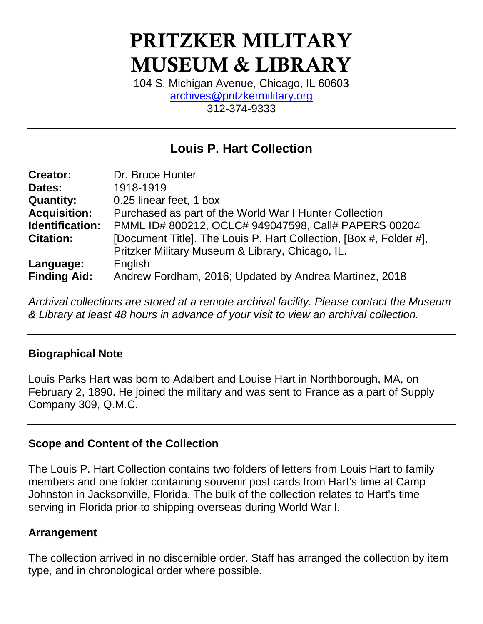# **PRITZKER MILITARY MUSEUM & LIBRARY**

104 S. Michigan Avenue, Chicago, IL 60603 [archives@pritzkermilitary.org](mailto:archives@pritzkermilitary.org) 312-374-9333

# **Louis P. Hart Collection**

| <b>Creator:</b>     | Dr. Bruce Hunter                                                   |
|---------------------|--------------------------------------------------------------------|
| Dates:              | 1918-1919                                                          |
| <b>Quantity:</b>    | 0.25 linear feet, 1 box                                            |
| <b>Acquisition:</b> | Purchased as part of the World War I Hunter Collection             |
| Identification:     | PMML ID# 800212, OCLC# 949047598, Call# PAPERS 00204               |
| <b>Citation:</b>    | [Document Title]. The Louis P. Hart Collection, [Box #, Folder #], |
|                     | Pritzker Military Museum & Library, Chicago, IL.                   |
| Language:           | English                                                            |
| <b>Finding Aid:</b> | Andrew Fordham, 2016; Updated by Andrea Martinez, 2018             |

*Archival collections are stored at a remote archival facility. Please contact the Museum & Library at least 48 hours in advance of your visit to view an archival collection.*

#### **Biographical Note**

Louis Parks Hart was born to Adalbert and Louise Hart in Northborough, MA, on February 2, 1890. He joined the military and was sent to France as a part of Supply Company 309, Q.M.C.

#### **Scope and Content of the Collection**

The Louis P. Hart Collection contains two folders of letters from Louis Hart to family members and one folder containing souvenir post cards from Hart's time at Camp Johnston in Jacksonville, Florida. The bulk of the collection relates to Hart's time serving in Florida prior to shipping overseas during World War I.

## **Arrangement**

The collection arrived in no discernible order. Staff has arranged the collection by item type, and in chronological order where possible.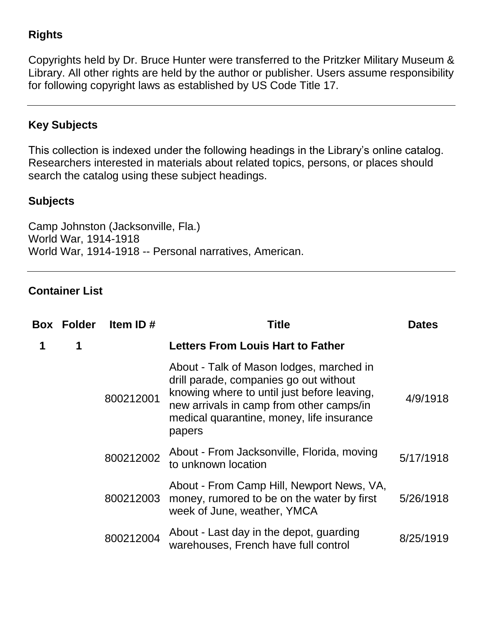# **Rights**

Copyrights held by Dr. Bruce Hunter were transferred to the Pritzker Military Museum & Library. All other rights are held by the author or publisher. Users assume responsibility for following copyright laws as established by US Code Title 17.

# **Key Subjects**

This collection is indexed under the following headings in the Library's online catalog. Researchers interested in materials about related topics, persons, or places should search the catalog using these subject headings.

### **Subjects**

Camp Johnston (Jacksonville, Fla.) World War, 1914-1918 World War, 1914-1918 -- Personal narratives, American.

#### **Container List**

|   | <b>Box Folder</b> | Item ID#  | Title                                                                                                                                                                                                                                | <b>Dates</b> |
|---|-------------------|-----------|--------------------------------------------------------------------------------------------------------------------------------------------------------------------------------------------------------------------------------------|--------------|
| 1 | 1                 |           | <b>Letters From Louis Hart to Father</b>                                                                                                                                                                                             |              |
|   |                   | 800212001 | About - Talk of Mason lodges, marched in<br>drill parade, companies go out without<br>knowing where to until just before leaving,<br>new arrivals in camp from other camps/in<br>medical quarantine, money, life insurance<br>papers | 4/9/1918     |
|   |                   | 800212002 | About - From Jacksonville, Florida, moving<br>to unknown location                                                                                                                                                                    | 5/17/1918    |
|   |                   | 800212003 | About - From Camp Hill, Newport News, VA,<br>money, rumored to be on the water by first<br>week of June, weather, YMCA                                                                                                               | 5/26/1918    |
|   |                   | 800212004 | About - Last day in the depot, guarding<br>warehouses, French have full control                                                                                                                                                      | 8/25/1919    |